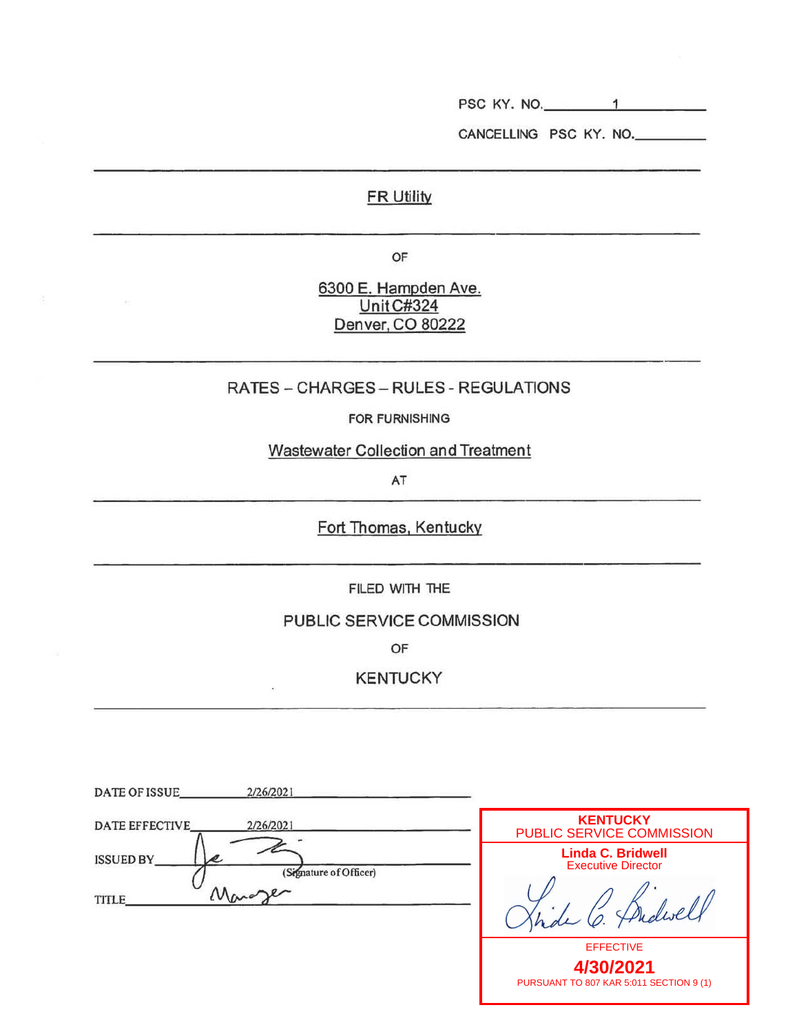PSC KY. NO. \_\_\_ \_\_\_.\_ \_\_\_ \_

CANCELLING PSC KY. NO.

## **FR Utility**

OF

6300 E. Hampden Ave. UnitC#324 Denver. CO 80222

 $\sim$ 

## RATES-CHARGES- RULES- REGULATIONS

FOR FURNISHING

Wastewater Collection and Treatment

AT

Fort Thomas, Kentucky

FILED WITH THE

PUBLIC SERVICE COMMISSION

OF

KENTUCKY

| DATE OF ISSUE<br>2/26/2021                                         |                                                                          |
|--------------------------------------------------------------------|--------------------------------------------------------------------------|
| 2/26/2021<br><b>DATE EFFECTIVE</b>                                 | <b>KENTUCKY</b><br>PUBLIC SERVICE COMMISSION                             |
| <b>ISSUED BY</b><br>(Signature of Officer)<br>Mara<br><b>TITLE</b> | <b>Linda C. Bridwell</b><br><b>Executive Director</b><br>Thebull         |
|                                                                    | <b>EFFECTIVE</b><br>4/30/2021<br>PURSUANT TO 807 KAR 5:011 SECTION 9 (1) |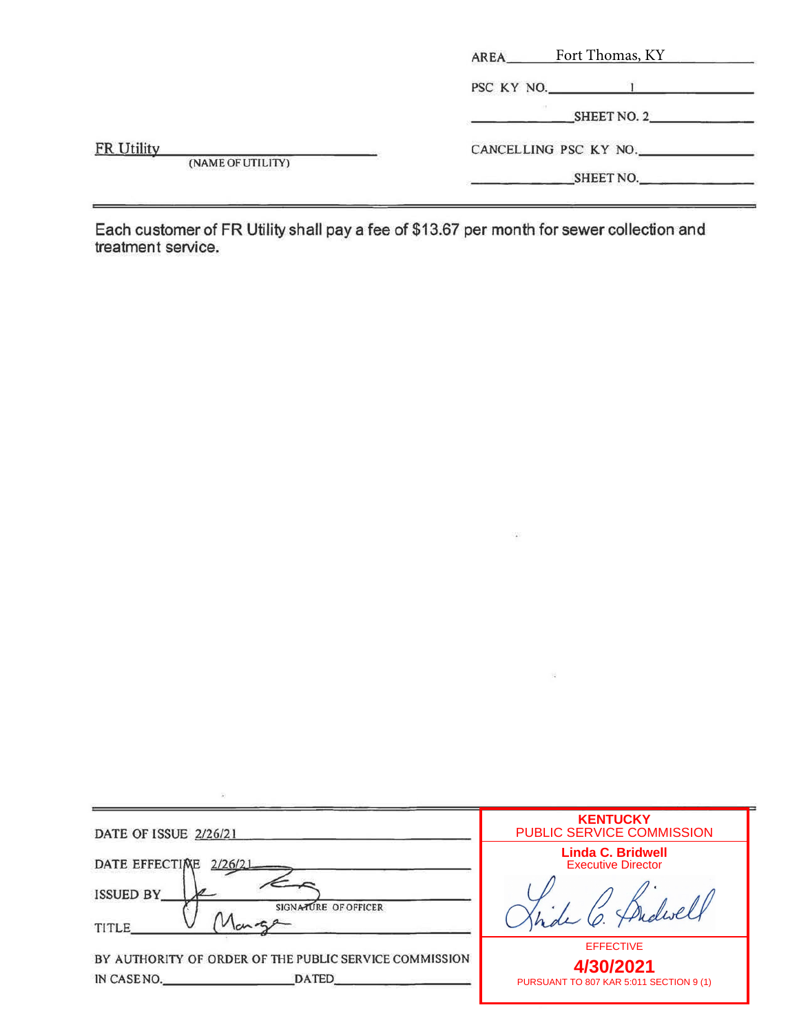|                   | Fort Thomas, KY<br>AREA_ |
|-------------------|--------------------------|
|                   | PSC KY NO.               |
|                   | SHEET NO. 2              |
| <b>FR Utility</b> | CANCELLING PSC KY NO.    |
| (NAME OF UTILITY) | SHEET NO.                |

Each customer of FR Utility shall pay a fee of \$13.67 per month for sewer collection and treatment service.

| DATE OF ISSUE 2/26/21                                                                | <b>KENTUCKY</b><br>PUBLIC SERVICE COMMISSION                             |
|--------------------------------------------------------------------------------------|--------------------------------------------------------------------------|
| DATE EFFECTIME<br>2/26/21                                                            | <b>Linda C. Bridwell</b><br><b>Executive Director</b>                    |
| <b>ISSUED BY</b><br>SIGNATURE OF OFFICER<br><b>TITLE</b>                             | O. Thedwell                                                              |
| BY AUTHORITY OF ORDER OF THE PUBLIC SERVICE COMMISSION<br>IN CASENO.<br><b>DATED</b> | <b>EFFECTIVE</b><br>4/30/2021<br>PURSUANT TO 807 KAR 5:011 SECTION 9 (1) |

 $\left\langle \cdot \right\rangle$ 

 $\widetilde{\mathbb{R}}$